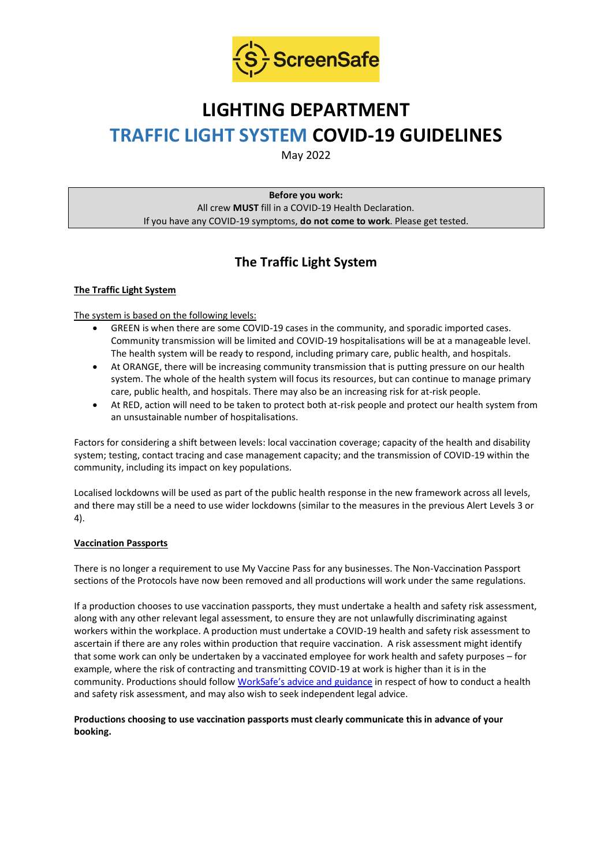

# **LIGHTING DEPARTMENT TRAFFIC LIGHT SYSTEM COVID-19 GUIDELINES**

May 2022

**Before you work:** All crew **MUST** fill in a COVID-19 Health Declaration. If you have any COVID-19 symptoms, **do not come to work**. Please get tested.

## **The Traffic Light System**

#### **The Traffic Light System**

The system is based on the following levels:

- GREEN is when there are some COVID-19 cases in the community, and sporadic imported cases. Community transmission will be limited and COVID-19 hospitalisations will be at a manageable level. The health system will be ready to respond, including primary care, public health, and hospitals.
- At ORANGE, there will be increasing community transmission that is putting pressure on our health system. The whole of the health system will focus its resources, but can continue to manage primary care, public health, and hospitals. There may also be an increasing risk for at-risk people.
- At RED, action will need to be taken to protect both at-risk people and protect our health system from an unsustainable number of hospitalisations.

Factors for considering a shift between levels: local vaccination coverage; capacity of the health and disability system; testing, contact tracing and case management capacity; and the transmission of COVID-19 within the community, including its impact on key populations.

Localised lockdowns will be used as part of the public health response in the new framework across all levels, and there may still be a need to use wider lockdowns (similar to the measures in the previous Alert Levels 3 or 4).

#### **Vaccination Passports**

There is no longer a requirement to use My Vaccine Pass for any businesses. The Non-Vaccination Passport sections of the Protocols have now been removed and all productions will work under the same regulations.

If a production chooses to use vaccination passports, they must undertake a health and safety risk assessment, along with any other relevant legal assessment, to ensure they are not unlawfully discriminating against workers within the workplace. A production must undertake a COVID-19 health and safety risk assessment to ascertain if there are any roles within production that require vaccination. A risk assessment might identify that some work can only be undertaken by a vaccinated employee for work health and safety purposes – for example, where the risk of contracting and transmitting COVID-19 at work is higher than it is in the community. Productions should follow [WorkSafe's advice and guidance](https://www.worksafe.govt.nz/managing-health-and-safety/novel-coronavirus-covid/covid-19-controls-at-work/) in respect of how to conduct a health and safety risk assessment, and may also wish to seek independent legal advice.

#### **Productions choosing to use vaccination passports must clearly communicate this in advance of your booking.**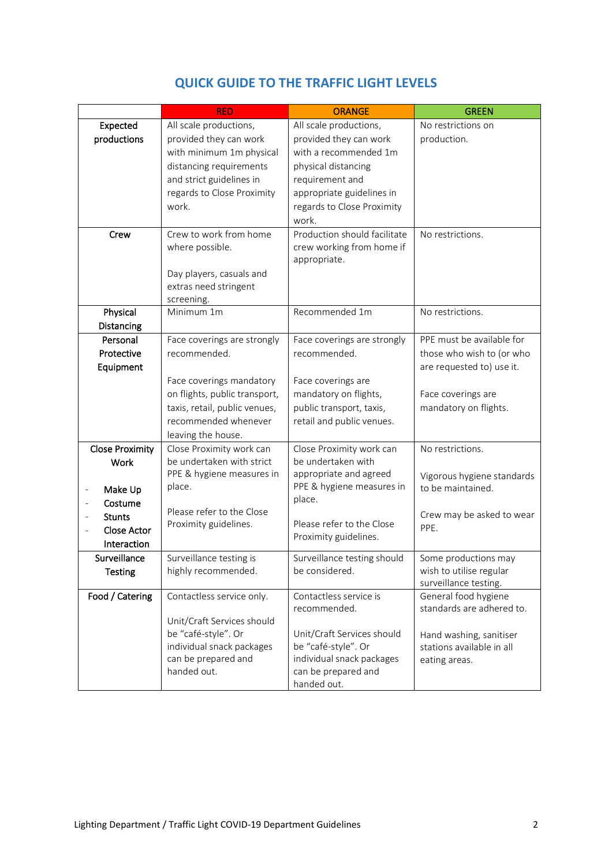|                                         | <b>RED</b>                    | <b>ORANGE</b>                | <b>GREEN</b>               |
|-----------------------------------------|-------------------------------|------------------------------|----------------------------|
| Expected                                | All scale productions,        | All scale productions,       | No restrictions on         |
| productions                             | provided they can work        | provided they can work       | production.                |
|                                         | with minimum 1m physical      | with a recommended 1m        |                            |
|                                         | distancing requirements       | physical distancing          |                            |
|                                         | and strict guidelines in      | requirement and              |                            |
|                                         | regards to Close Proximity    | appropriate guidelines in    |                            |
|                                         | work.                         | regards to Close Proximity   |                            |
|                                         |                               | work.                        |                            |
| Crew                                    | Crew to work from home        | Production should facilitate | No restrictions.           |
|                                         | where possible.               | crew working from home if    |                            |
|                                         |                               | appropriate.                 |                            |
|                                         | Day players, casuals and      |                              |                            |
|                                         | extras need stringent         |                              |                            |
|                                         | screening.                    |                              |                            |
| Physical                                | Minimum 1m                    | Recommended 1m               | No restrictions.           |
| Distancing                              |                               |                              |                            |
| Personal                                | Face coverings are strongly   | Face coverings are strongly  | PPE must be available for  |
| Protective                              | recommended.                  | recommended.                 | those who wish to (or who  |
| Equipment                               |                               |                              | are requested to) use it.  |
|                                         | Face coverings mandatory      | Face coverings are           |                            |
|                                         | on flights, public transport, | mandatory on flights,        | Face coverings are         |
|                                         | taxis, retail, public venues, | public transport, taxis,     | mandatory on flights.      |
|                                         | recommended whenever          | retail and public venues.    |                            |
|                                         | leaving the house.            |                              |                            |
| <b>Close Proximity</b>                  | Close Proximity work can      | Close Proximity work can     | No restrictions.           |
| <b>Work</b>                             | be undertaken with strict     | be undertaken with           |                            |
|                                         | PPE & hygiene measures in     | appropriate and agreed       | Vigorous hygiene standards |
| Make Up<br>$\qquad \qquad \blacksquare$ | place.                        | PPE & hygiene measures in    | to be maintained.          |
| Costume                                 |                               | place.                       |                            |
| <b>Stunts</b>                           | Please refer to the Close     |                              | Crew may be asked to wear  |
| <b>Close Actor</b>                      | Proximity guidelines.         | Please refer to the Close    | PPE.                       |
| Interaction                             |                               | Proximity guidelines.        |                            |
| Surveillance                            | Surveillance testing is       | Surveillance testing should  | Some productions may       |
| <b>Testing</b>                          | highly recommended.           | be considered.               | wish to utilise regular    |
|                                         |                               |                              | surveillance testing.      |
| Food / Catering                         | Contactless service only.     | Contactless service is       | General food hygiene       |
|                                         |                               | recommended.                 | standards are adhered to.  |
|                                         | Unit/Craft Services should    |                              |                            |
|                                         | be "café-style". Or           | Unit/Craft Services should   | Hand washing, sanitiser    |
|                                         | individual snack packages     | be "café-style". Or          | stations available in all  |
|                                         | can be prepared and           | individual snack packages    | eating areas.              |
|                                         | handed out.                   | can be prepared and          |                            |
|                                         |                               | handed out.                  |                            |

### **QUICK GUIDE TO THE TRAFFIC LIGHT LEVELS**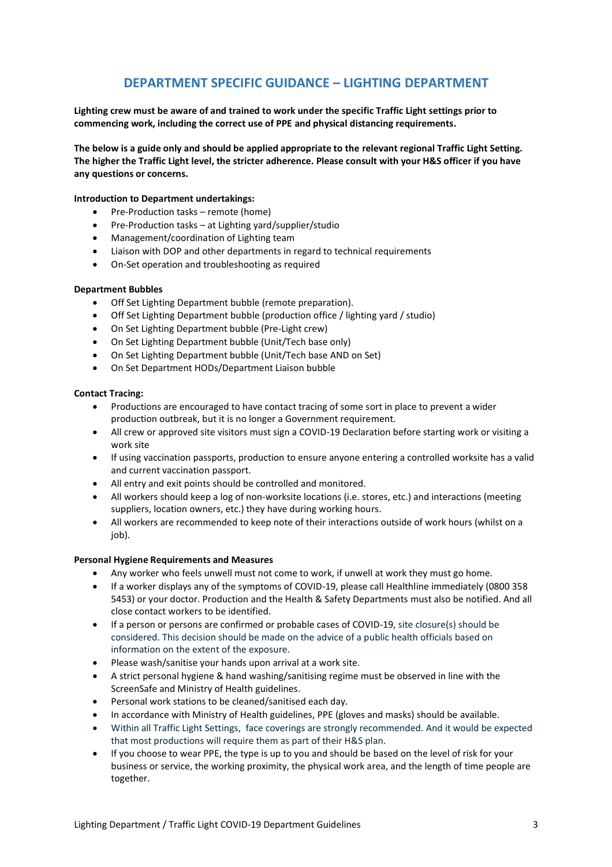### **DEPARTMENT SPECIFIC GUIDANCE – LIGHTING DEPARTMENT**

**Lighting crew must be aware of and trained to work under the specific Traffic Light settings prior to commencing work, including the correct use of PPE and physical distancing requirements.**

**The below is a guide only and should be applied appropriate to the relevant regional Traffic Light Setting. The higher the Traffic Light level, the stricter adherence. Please consult with your H&S officer if you have any questions or concerns.**

#### **Introduction to Department undertakings:**

- Pre-Production tasks remote (home)
- Pre-Production tasks at Lighting yard/supplier/studio
- Management/coordination of Lighting team
- Liaison with DOP and other departments in regard to technical requirements
- On-Set operation and troubleshooting as required

#### **Department Bubbles**

- Off Set Lighting Department bubble (remote preparation).
- Off Set Lighting Department bubble (production office / lighting yard / studio)
- On Set Lighting Department bubble (Pre-Light crew)
- On Set Lighting Department bubble (Unit/Tech base only)
- On Set Lighting Department bubble (Unit/Tech base AND on Set)
- On Set Department HODs/Department Liaison bubble

#### **Contact Tracing:**

- Productions are encouraged to have contact tracing of some sort in place to prevent a wider production outbreak, but it is no longer a Government requirement.
- All crew or approved site visitors must sign a COVID-19 Declaration before starting work or visiting a work site
- If using vaccination passports, production to ensure anyone entering a controlled worksite has a valid and current vaccination passport.
- All entry and exit points should be controlled and monitored.
- All workers should keep a log of non-worksite locations (i.e. stores, etc.) and interactions (meeting suppliers, location owners, etc.) they have during working hours.
- All workers are recommended to keep note of their interactions outside of work hours (whilst on a iob).

#### **Personal Hygiene Requirements and Measures**

- Any worker who feels unwell must not come to work, if unwell at work they must go home.
- If a worker displays any of the symptoms of COVID-19, please call Healthline immediately (0800 358 5453) or your doctor. Production and the Health & Safety Departments must also be notified. And all close contact workers to be identified.
- If a person or persons are confirmed or probable cases of COVID-19, site closure(s) should be considered. This decision should be made on the advice of a public health officials based on information on the extent of the exposure.
- Please wash/sanitise your hands upon arrival at a work site.
- A strict personal hygiene & hand washing/sanitising regime must be observed in line with the ScreenSafe and Ministry of Health guidelines.
- Personal work stations to be cleaned/sanitised each day.
- In accordance with Ministry of Health guidelines, PPE (gloves and masks) should be available.
- Within all Traffic Light Settings, face coverings are strongly recommended. And it would be expected that most productions will require them as part of their H&S plan.
- If you choose to wear PPE, the type is up to you and should be based on the level of risk for your business or service, the working proximity, the physical work area, and the length of time people are together.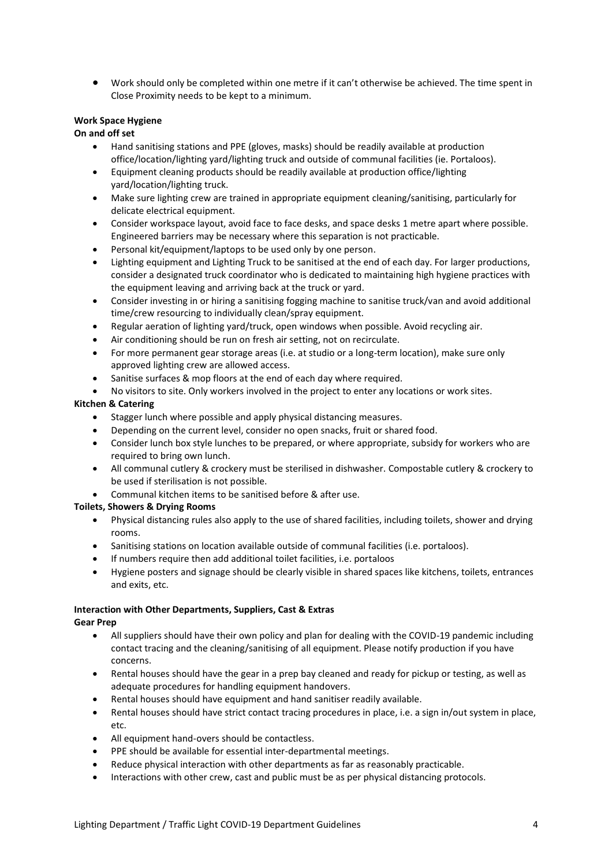• Work should only be completed within one metre if it can't otherwise be achieved. The time spent in Close Proximity needs to be kept to a minimum.

#### **Work Space Hygiene**

#### **On and off set**

- Hand sanitising stations and PPE (gloves, masks) should be readily available at production office/location/lighting yard/lighting truck and outside of communal facilities (ie. Portaloos).
- Equipment cleaning products should be readily available at production office/lighting yard/location/lighting truck.
- Make sure lighting crew are trained in appropriate equipment cleaning/sanitising, particularly for delicate electrical equipment.
- Consider workspace layout, avoid face to face desks, and space desks 1 metre apart where possible. Engineered barriers may be necessary where this separation is not practicable.
- Personal kit/equipment/laptops to be used only by one person.
- Lighting equipment and Lighting Truck to be sanitised at the end of each day. For larger productions, consider a designated truck coordinator who is dedicated to maintaining high hygiene practices with the equipment leaving and arriving back at the truck or yard.
- Consider investing in or hiring a sanitising fogging machine to sanitise truck/van and avoid additional time/crew resourcing to individually clean/spray equipment.
- Regular aeration of lighting yard/truck, open windows when possible. Avoid recycling air.
- Air conditioning should be run on fresh air setting, not on recirculate.
- For more permanent gear storage areas (i.e. at studio or a long-term location), make sure only approved lighting crew are allowed access.
- Sanitise surfaces & mop floors at the end of each day where required.
- No visitors to site. Only workers involved in the project to enter any locations or work sites.

#### **Kitchen & Catering**

- Stagger lunch where possible and apply physical distancing measures.
- Depending on the current level, consider no open snacks, fruit or shared food.
- Consider lunch box style lunches to be prepared, or where appropriate, subsidy for workers who are required to bring own lunch.
- All communal cutlery & crockery must be sterilised in dishwasher. Compostable cutlery & crockery to be used if sterilisation is not possible.
- Communal kitchen items to be sanitised before & after use.

#### **Toilets, Showers & Drying Rooms**

- Physical distancing rules also apply to the use of shared facilities, including toilets, shower and drying rooms.
- Sanitising stations on location available outside of communal facilities (i.e. portaloos).
- If numbers require then add additional toilet facilities, i.e. portaloos
- Hygiene posters and signage should be clearly visible in shared spaces like kitchens, toilets, entrances and exits, etc.

### **Interaction with Other Departments, Suppliers, Cast & Extras**

#### **Gear Prep**

- All suppliers should have their own policy and plan for dealing with the COVID-19 pandemic including contact tracing and the cleaning/sanitising of all equipment. Please notify production if you have concerns.
- Rental houses should have the gear in a prep bay cleaned and ready for pickup or testing, as well as adequate procedures for handling equipment handovers.
- Rental houses should have equipment and hand sanitiser readily available.
- Rental houses should have strict contact tracing procedures in place, i.e. a sign in/out system in place, etc.
- All equipment hand-overs should be contactless.
- PPE should be available for essential inter-departmental meetings.
- Reduce physical interaction with other departments as far as reasonably practicable.
- Interactions with other crew, cast and public must be as per physical distancing protocols.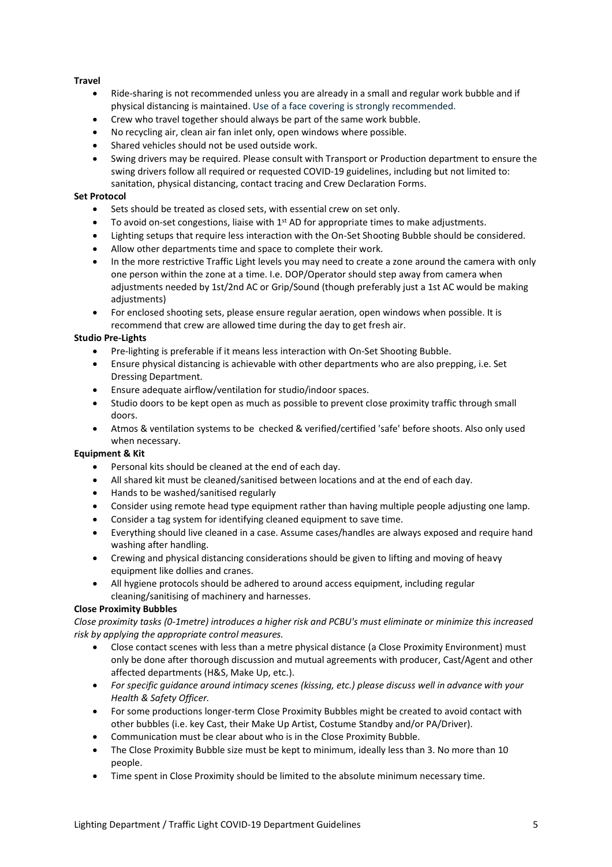#### **Travel**

- Ride-sharing is not recommended unless you are already in a small and regular work bubble and if physical distancing is maintained. Use of a face covering is strongly recommended.
- Crew who travel together should always be part of the same work bubble.
- No recycling air, clean air fan inlet only, open windows where possible.
- Shared vehicles should not be used outside work.
- Swing drivers may be required. Please consult with Transport or Production department to ensure the swing drivers follow all required or requested COVID-19 guidelines, including but not limited to: sanitation, physical distancing, contact tracing and Crew Declaration Forms.

#### **Set Protocol**

- Sets should be treated as closed sets, with essential crew on set only.
- To avoid on-set congestions, liaise with  $1<sup>st</sup>$  AD for appropriate times to make adjustments.
- Lighting setups that require less interaction with the On-Set Shooting Bubble should be considered.
- Allow other departments time and space to complete their work.
- In the more restrictive Traffic Light levels you may need to create a zone around the camera with only one person within the zone at a time. I.e. DOP/Operator should step away from camera when adjustments needed by 1st/2nd AC or Grip/Sound (though preferably just a 1st AC would be making adjustments)
- For enclosed shooting sets, please ensure regular aeration, open windows when possible. It is recommend that crew are allowed time during the day to get fresh air.

#### **Studio Pre-Lights**

- Pre-lighting is preferable if it means less interaction with On-Set Shooting Bubble.
- Ensure physical distancing is achievable with other departments who are also prepping, i.e. Set Dressing Department.
- Ensure adequate airflow/ventilation for studio/indoor spaces.
- Studio doors to be kept open as much as possible to prevent close proximity traffic through small doors.
- Atmos & ventilation systems to be checked & verified/certified 'safe' before shoots. Also only used when necessary.

#### **Equipment & Kit**

- Personal kits should be cleaned at the end of each day.
- All shared kit must be cleaned/sanitised between locations and at the end of each day.
- Hands to be washed/sanitised regularly
- Consider using remote head type equipment rather than having multiple people adjusting one lamp.
- Consider a tag system for identifying cleaned equipment to save time.
- Everything should live cleaned in a case. Assume cases/handles are always exposed and require hand washing after handling.
- Crewing and physical distancing considerations should be given to lifting and moving of heavy equipment like dollies and cranes.
- All hygiene protocols should be adhered to around access equipment, including regular cleaning/sanitising of machinery and harnesses.

#### **Close Proximity Bubbles**

*Close proximity tasks (0-1metre) introduces a higher risk and PCBU's must eliminate or minimize this increased risk by applying the appropriate control measures.* 

- Close contact scenes with less than a metre physical distance (a Close Proximity Environment) must only be done after thorough discussion and mutual agreements with producer, Cast/Agent and other affected departments (H&S, Make Up, etc.).
- *For specific guidance around intimacy scenes (kissing, etc.) please discuss well in advance with your Health & Safety Officer.*
- For some productions longer-term Close Proximity Bubbles might be created to avoid contact with other bubbles (i.e. key Cast, their Make Up Artist, Costume Standby and/or PA/Driver).
- Communication must be clear about who is in the Close Proximity Bubble.
- The Close Proximity Bubble size must be kept to minimum, ideally less than 3. No more than 10 people.
- Time spent in Close Proximity should be limited to the absolute minimum necessary time.